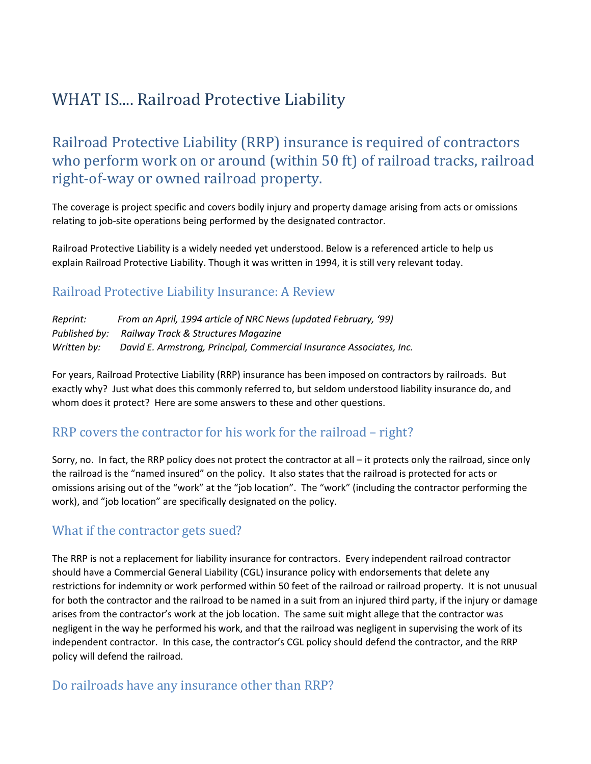# WHAT IS.... Railroad Protective Liability

Railroad Protective Liability (RRP) insurance is required of contractors who perform work on or around (within 50 ft) of railroad tracks, railroad right-of-way or owned railroad property.

The coverage is project specific and covers bodily injury and property damage arising from acts or omissions relating to job-site operations being performed by the designated contractor.

Railroad Protective Liability is a widely needed yet understood. Below is a referenced article to help us explain Railroad Protective Liability. Though it was written in 1994, it is still very relevant today.

#### Railroad Protective Liability Insurance: A Review

*Reprint: From an April, 1994 article of NRC News (updated February, '99) Published by: Railway Track & Structures Magazine Written by: David E. Armstrong, Principal, Commercial Insurance Associates, Inc.*

For years, Railroad Protective Liability (RRP) insurance has been imposed on contractors by railroads. But exactly why? Just what does this commonly referred to, but seldom understood liability insurance do, and whom does it protect? Here are some answers to these and other questions.

# RRP covers the contractor for his work for the railroad – right?

Sorry, no. In fact, the RRP policy does not protect the contractor at all – it protects only the railroad, since only the railroad is the "named insured" on the policy. It also states that the railroad is protected for acts or omissions arising out of the "work" at the "job location". The "work" (including the contractor performing the work), and "job location" are specifically designated on the policy.

#### What if the contractor gets sued?

The RRP is not a replacement for liability insurance for contractors. Every independent railroad contractor should have a Commercial General Liability (CGL) insurance policy with endorsements that delete any restrictions for indemnity or work performed within 50 feet of the railroad or railroad property. It is not unusual for both the contractor and the railroad to be named in a suit from an injured third party, if the injury or damage arises from the contractor's work at the job location. The same suit might allege that the contractor was negligent in the way he performed his work, and that the railroad was negligent in supervising the work of its independent contractor. In this case, the contractor's CGL policy should defend the contractor, and the RRP policy will defend the railroad.

#### Do railroads have any insurance other than RRP?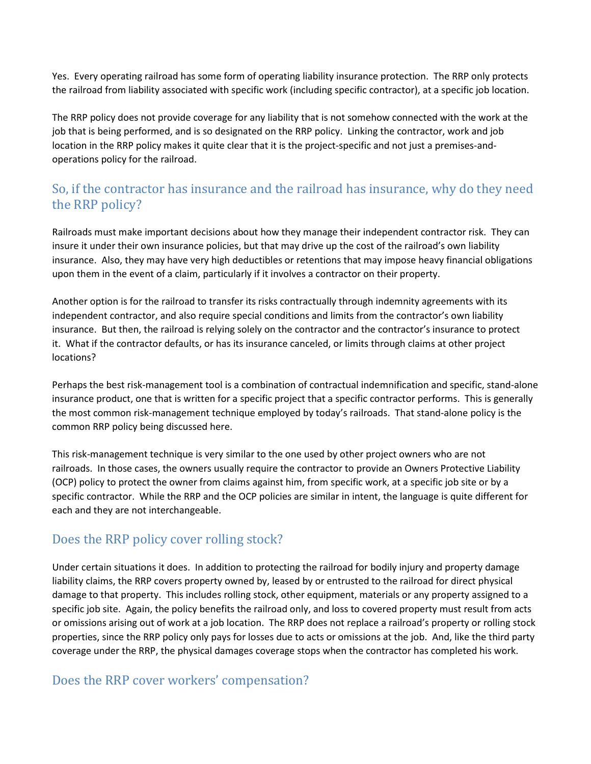Yes. Every operating railroad has some form of operating liability insurance protection. The RRP only protects the railroad from liability associated with specific work (including specific contractor), at a specific job location.

The RRP policy does not provide coverage for any liability that is not somehow connected with the work at the job that is being performed, and is so designated on the RRP policy. Linking the contractor, work and job location in the RRP policy makes it quite clear that it is the project-specific and not just a premises-andoperations policy for the railroad.

# So, if the contractor has insurance and the railroad has insurance, why do they need the RRP policy?

Railroads must make important decisions about how they manage their independent contractor risk. They can insure it under their own insurance policies, but that may drive up the cost of the railroad's own liability insurance. Also, they may have very high deductibles or retentions that may impose heavy financial obligations upon them in the event of a claim, particularly if it involves a contractor on their property.

Another option is for the railroad to transfer its risks contractually through indemnity agreements with its independent contractor, and also require special conditions and limits from the contractor's own liability insurance. But then, the railroad is relying solely on the contractor and the contractor's insurance to protect it. What if the contractor defaults, or has its insurance canceled, or limits through claims at other project locations?

Perhaps the best risk-management tool is a combination of contractual indemnification and specific, stand-alone insurance product, one that is written for a specific project that a specific contractor performs. This is generally the most common risk-management technique employed by today's railroads. That stand-alone policy is the common RRP policy being discussed here.

This risk-management technique is very similar to the one used by other project owners who are not railroads. In those cases, the owners usually require the contractor to provide an Owners Protective Liability (OCP) policy to protect the owner from claims against him, from specific work, at a specific job site or by a specific contractor. While the RRP and the OCP policies are similar in intent, the language is quite different for each and they are not interchangeable.

# Does the RRP policy cover rolling stock?

Under certain situations it does. In addition to protecting the railroad for bodily injury and property damage liability claims, the RRP covers property owned by, leased by or entrusted to the railroad for direct physical damage to that property. This includes rolling stock, other equipment, materials or any property assigned to a specific job site. Again, the policy benefits the railroad only, and loss to covered property must result from acts or omissions arising out of work at a job location. The RRP does not replace a railroad's property or rolling stock properties, since the RRP policy only pays for losses due to acts or omissions at the job. And, like the third party coverage under the RRP, the physical damages coverage stops when the contractor has completed his work.

#### Does the RRP cover workers' compensation?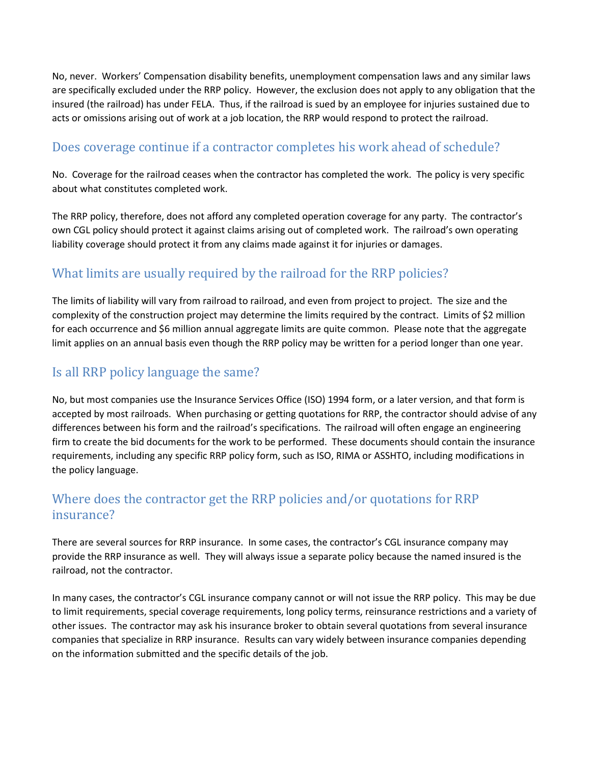No, never. Workers' Compensation disability benefits, unemployment compensation laws and any similar laws are specifically excluded under the RRP policy. However, the exclusion does not apply to any obligation that the insured (the railroad) has under FELA. Thus, if the railroad is sued by an employee for injuries sustained due to acts or omissions arising out of work at a job location, the RRP would respond to protect the railroad.

#### Does coverage continue if a contractor completes his work ahead of schedule?

No. Coverage for the railroad ceases when the contractor has completed the work. The policy is very specific about what constitutes completed work.

The RRP policy, therefore, does not afford any completed operation coverage for any party. The contractor's own CGL policy should protect it against claims arising out of completed work. The railroad's own operating liability coverage should protect it from any claims made against it for injuries or damages.

# What limits are usually required by the railroad for the RRP policies?

The limits of liability will vary from railroad to railroad, and even from project to project. The size and the complexity of the construction project may determine the limits required by the contract. Limits of \$2 million for each occurrence and \$6 million annual aggregate limits are quite common. Please note that the aggregate limit applies on an annual basis even though the RRP policy may be written for a period longer than one year.

# Is all RRP policy language the same?

No, but most companies use the Insurance Services Office (ISO) 1994 form, or a later version, and that form is accepted by most railroads. When purchasing or getting quotations for RRP, the contractor should advise of any differences between his form and the railroad's specifications. The railroad will often engage an engineering firm to create the bid documents for the work to be performed. These documents should contain the insurance requirements, including any specific RRP policy form, such as ISO, RIMA or ASSHTO, including modifications in the policy language.

# Where does the contractor get the RRP policies and/or quotations for RRP insurance?

There are several sources for RRP insurance. In some cases, the contractor's CGL insurance company may provide the RRP insurance as well. They will always issue a separate policy because the named insured is the railroad, not the contractor.

In many cases, the contractor's CGL insurance company cannot or will not issue the RRP policy. This may be due to limit requirements, special coverage requirements, long policy terms, reinsurance restrictions and a variety of other issues. The contractor may ask his insurance broker to obtain several quotations from several insurance companies that specialize in RRP insurance. Results can vary widely between insurance companies depending on the information submitted and the specific details of the job.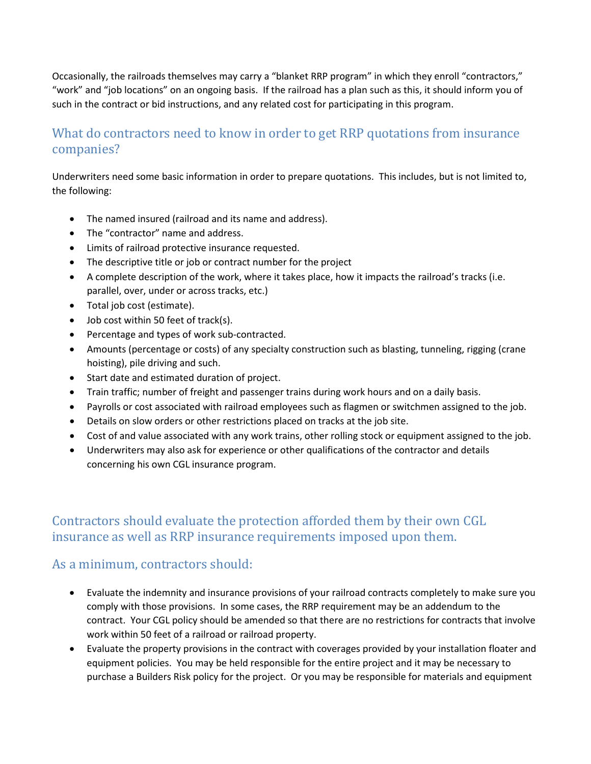Occasionally, the railroads themselves may carry a "blanket RRP program" in which they enroll "contractors," "work" and "job locations" on an ongoing basis. If the railroad has a plan such as this, it should inform you of such in the contract or bid instructions, and any related cost for participating in this program.

# What do contractors need to know in order to get RRP quotations from insurance companies?

Underwriters need some basic information in order to prepare quotations. This includes, but is not limited to, the following:

- The named insured (railroad and its name and address).
- The "contractor" name and address.
- Limits of railroad protective insurance requested.
- The descriptive title or job or contract number for the project
- A complete description of the work, where it takes place, how it impacts the railroad's tracks (i.e. parallel, over, under or across tracks, etc.)
- Total job cost (estimate).
- Job cost within 50 feet of track(s).
- Percentage and types of work sub-contracted.
- Amounts (percentage or costs) of any specialty construction such as blasting, tunneling, rigging (crane hoisting), pile driving and such.
- Start date and estimated duration of project.
- Train traffic; number of freight and passenger trains during work hours and on a daily basis.
- Payrolls or cost associated with railroad employees such as flagmen or switchmen assigned to the job.
- Details on slow orders or other restrictions placed on tracks at the job site.
- Cost of and value associated with any work trains, other rolling stock or equipment assigned to the job.
- Underwriters may also ask for experience or other qualifications of the contractor and details concerning his own CGL insurance program.

# Contractors should evaluate the protection afforded them by their own CGL insurance as well as RRP insurance requirements imposed upon them.

# As a minimum, contractors should:

- Evaluate the indemnity and insurance provisions of your railroad contracts completely to make sure you comply with those provisions. In some cases, the RRP requirement may be an addendum to the contract. Your CGL policy should be amended so that there are no restrictions for contracts that involve work within 50 feet of a railroad or railroad property.
- Evaluate the property provisions in the contract with coverages provided by your installation floater and equipment policies. You may be held responsible for the entire project and it may be necessary to purchase a Builders Risk policy for the project. Or you may be responsible for materials and equipment